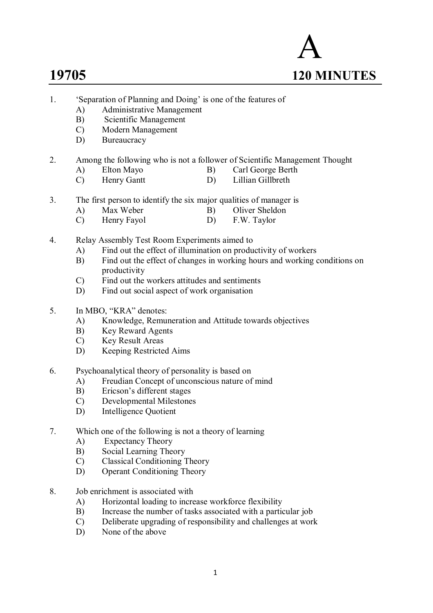

- 1. 'Separation of Planning and Doing' is one of the features of
	- A) Administrative Management
	- B) Scientific Management
	- C) Modern Management
	- D) Bureaucracy
- 2. Among the following who is not a follower of Scientific Management Thought
	- A) Elton Mayo B) Carl George Berth
	- C) Henry Gantt D) Lillian Gillbreth
- 3. The first person to identify the six major qualities of manager is
	- A) Max Weber B) Oliver Sheldon C) Henry Fayol D) F.W. Taylor
	- Henry Fayol D) F.W. Taylor
- 4. Relay Assembly Test Room Experiments aimed to
	- A) Find out the effect of illumination on productivity of workers
	- B) Find out the effect of changes in working hours and working conditions on productivity
	- C) Find out the workers attitudes and sentiments
	- D) Find out social aspect of work organisation
- 5. In MBO, "KRA" denotes:
	- A) Knowledge, Remuneration and Attitude towards objectives<br>
	B) Key Reward Agents
	- Key Reward Agents
	- C) Key Result Areas
	- D) Keeping Restricted Aims
- 6. Psychoanalytical theory of personality is based on
	- A) Freudian Concept of unconscious nature of mind
	- B) Ericson's different stages
	- C) Developmental Milestones
	- D) Intelligence Quotient
- 7. Which one of the following is not a theory of learning
	- A) Expectancy Theory
	- B) Social Learning Theory
	- C) Classical Conditioning Theory
	- D) Operant Conditioning Theory
- 8. Job enrichment is associated with
	- A) Horizontal loading to increase workforce flexibility
	- B) Increase the number of tasks associated with a particular job
	- C) Deliberate upgrading of responsibility and challenges at work
	- D) None of the above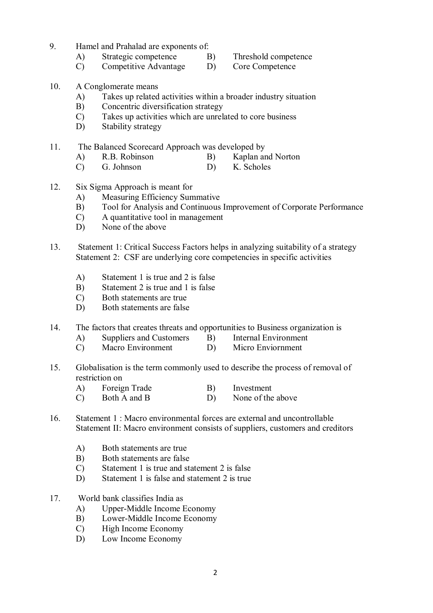- 9. Hamel and Prahalad are exponents of:
	- A) Strategic competence B) Threshold competence
		-
	- C) Competitive Advantage D) Core Competence
- 
- 10. A Conglomerate means
	- A) Takes up related activities within a broader industry situation
	- B) Concentric diversification strategy
	- C) Takes up activities which are unrelated to core business
	- D) Stability strategy

11. The Balanced Scorecard Approach was developed by

- A) R.B. Robinson B) Kaplan and Norton
- C) G. Johnson D) K. Scholes
- 12. Six Sigma Approach is meant for
	- A) Measuring Efficiency Summative
	- B) Tool for Analysis and Continuous Improvement of Corporate Performance
	- C) A quantitative tool in management
	- D) None of the above
- 13. Statement 1: Critical Success Factors helps in analyzing suitability of a strategy Statement 2: CSF are underlying core competencies in specific activities
	- A) Statement 1 is true and 2 is false
	- B) Statement 2 is true and 1 is false
	- C) Both statements are true
	- D) Both statements are false
- 14. The factors that creates threats and opportunities to Business organization is
	- A) Suppliers and Customers B) Internal Environment
	- C) Macro Environment D) Micro Enviornment
- 15. Globalisation is the term commonly used to describe the process of removal of restriction on
	- A) Foreign Trade B) Investment
	- C) Both A and B D) None of the above
- 16. Statement 1 : Macro environmental forces are external and uncontrollable Statement II: Macro environment consists of suppliers, customers and creditors
	- A) Both statements are true
	- B) Both statements are false
	- C) Statement 1 is true and statement 2 is false
	- D) Statement 1 is false and statement 2 is true
- 17. World bank classifies India as
	- A) Upper-Middle Income Economy
	- B) Lower-Middle Income Economy
	- C) High Income Economy
	- D) Low Income Economy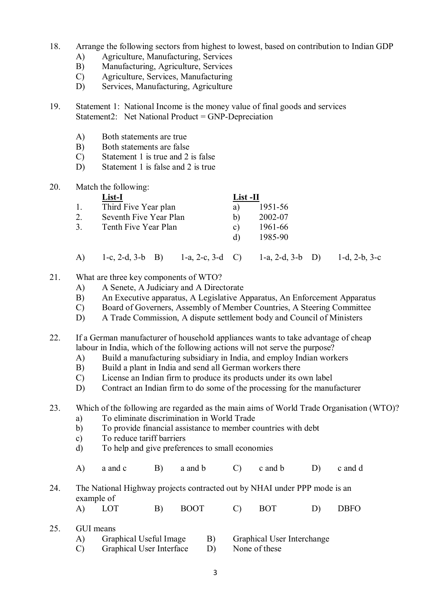- 18. Arrange the following sectors from highest to lowest, based on contribution to Indian GDP
	- A) Agriculture, Manufacturing, Services
	- B) Manufacturing, Agriculture, Services
	- C) Agriculture, Services, Manufacturing
	- D) Services, Manufacturing, Agriculture
- 19. Statement 1: National Income is the money value of final goods and services Statement2: Net National Product =  $GNP$ -Depreciation
	- A) Both statements are true
	- B) Both statements are false
	- C) Statement 1 is true and 2 is false
	- D) Statement 1 is false and 2 is true
- 20. Match the following:

|    | List-I                 | List -II |         |
|----|------------------------|----------|---------|
|    | Third Five Year plan   | a)       | 1951-56 |
| 2. | Seventh Five Year Plan | b)       | 2002-07 |
| 3. | Tenth Five Year Plan   | C)       | 1961-66 |
|    |                        | d)       | 1985-90 |
|    |                        |          |         |

- A) 1-c, 2-d, 3-b B) 1-a, 2-c, 3-d C) 1-a, 2-d, 3-b D) 1-d, 2-b, 3-c
- 21. What are three key components of WTO?
	- A) A Senete, A Judiciary and A Directorate
	- B) An Executive apparatus, A Legislative Apparatus, An Enforcement Apparatus
	- C) Board of Governers, Assembly of Member Countries, A Steering Committee
	- D) A Trade Commission, A dispute settlement body and Council of Ministers
- 22. If a German manufacturer of household appliances wants to take advantage of cheap labour in India, which of the following actions will not serve the purpose?
	- A) Build a manufacturing subsidiary in India, and employ Indian workers
	- B) Build a plant in India and send all German workers there
	- C) License an Indian firm to produce its products under its own label
	- D) Contract an Indian firm to do some of the processing for the manufacturer

23. Which of the following are regarded as the main aims of World Trade Organisation (WTO)?

- a) To eliminate discrimination in World Trade<br>b) To provide financial assistance to member co b) To provide financial assistance to member countries with debt
- c) To reduce tariff barriers
- d) To help and give preferences to small economies
- A) a and c B) a and b C) c and b D) c and d
- 24. The National Highway projects contracted out by NHAI under PPP mode is an example of
	- A) LOT B) BOOT C) BOT D) DBFO
- 25. GUI means A) Graphical Useful Image B) Graphical User Interchange
	- C) Graphical User Interface D) None of these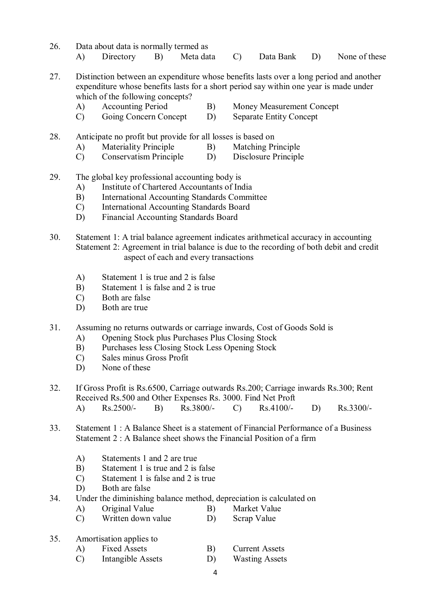- 26. Data about data is normally termed as A) Directory B) Meta data C) Data Bank D) None of these
- 27. Distinction between an expenditure whose benefits lasts over a long period and another expenditure whose benefits lasts for a short period say within one year is made under
	- which of the following concepts?<br>A) Accounting Period
		-
	- A) Accounting Period B) Money Measurement Concept<br>
	C) Going Concern Concept D) Separate Entity Concept C) Going Concern Concept D) Separate Entity Concept
- 28. Anticipate no profit but provide for all losses is based on
	- A) Materiality Principle B) Matching Principle
	- C) Conservatism Principle D) Disclosure Principle
- 29. The global key professional accounting body is
	- A) Institute of Chartered Accountants of India
	- B) International Accounting Standards Committee
	- C) International Accounting Standards Board
	- D) Financial Accounting Standards Board
- 30. Statement 1: A trial balance agreement indicates arithmetical accuracy in accounting Statement 2: Agreement in trial balance is due to the recording of both debit and credit aspect of each and every transactions
	- A) Statement 1 is true and 2 is false
	- B) Statement 1 is false and 2 is true
	- C) Both are false
	- D) Both are true
- 31. Assuming no returns outwards or carriage inwards, Cost of Goods Sold is
	- A) Opening Stock plus Purchases Plus Closing Stock
	- B) Purchases less Closing Stock Less Opening Stock
	- C) Sales minus Gross Profit
	- D) None of these
- 32. If Gross Profit is Rs.6500, Carriage outwards Rs.200; Carriage inwards Rs.300; Rent Received Rs.500 and Other Expenses Rs. 3000. Find Net Proft A) Rs.2500/- B) Rs.3800/- C) Rs.4100/- D) Rs.3300/-
- 33. Statement 1 : A Balance Sheet is a statement of Financial Performance of a Business Statement 2 : A Balance sheet shows the Financial Position of a firm
	- A) Statements 1 and 2 are true
	- B) Statement 1 is true and 2 is false
	- C) Statement 1 is false and 2 is true
	- D) Both are false
- 34. Under the diminishing balance method, depreciation is calculated on
	- A) Original Value B) Market Value
	- C) Written down value D) Scrap Value
- 35. Amortisation applies to
	- A) Fixed Assets B) Current Assets
	- C) Intangible Assets D) Wasting Assets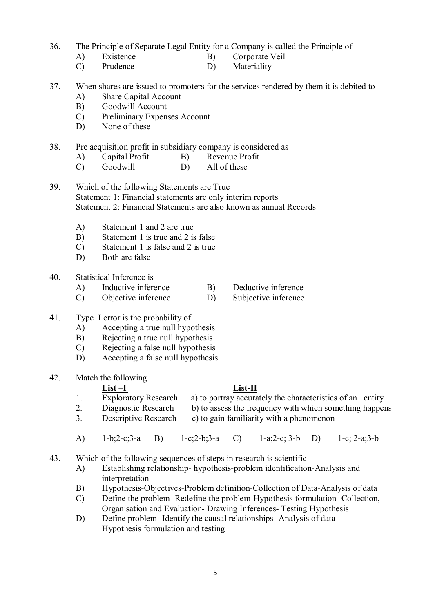### 36. The Principle of Separate Legal Entity for a Company is called the Principle of

- A) Existence B) Corporate Veil
- C) Prudence D) Materiality
- 37. When shares are issued to promoters for the services rendered by them it is debited to
	- A) Share Capital Account
	- B) Goodwill Account
	- C) Preliminary Expenses Account
	- D) None of these

### 38. Pre acquisition profit in subsidiary company is considered as

- A) Capital Profit B) Revenue Profit
- C) Goodwill D) All of these
- 39. Which of the following Statements are True Statement 1: Financial statements are only interim reports Statement 2: Financial Statements are also known as annual Records
	- A) Statement 1 and 2 are true
	- B) Statement 1 is true and 2 is false
	- C) Statement 1 is false and 2 is true
	- D) Both are false
- 40. Statistical Inference is
	- A) Inductive inference B) Deductive inference
	- C) Objective inference D) Subjective inference
- 41. Type I error is the probability of
	- A) Accepting a true null hypothesis
	- B) Rejecting a true null hypothesis
	- C) Rejecting a false null hypothesis
	- D) Accepting a false null hypothesis

### 42. Match the following

- **List –I**<br>Exploratory Research a) to portray accura 1. Exploratory Research a) to portray accurately the characteristics of an entity
- 2. Diagnostic Research b) to assess the frequency with which something happens
- 3. Descriptive Research c) to gain familiarity with a phenomenon
- A) 1-b;2-c;3-a B) 1-c;2-b;3-a C) 1-a;2-c; 3-b D) 1-c; 2-a;3-b
- 43. Which of the following sequences of steps in research is scientific
	- A) Establishing relationship- hypothesis-problem identification-Analysis and interpretation
	- B) Hypothesis-Objectives-Problem definition-Collection of Data-Analysis of data
	- C) Define the problem- Redefine the problem-Hypothesis formulation- Collection, Organisation and Evaluation- Drawing Inferences- Testing Hypothesis
	- D) Define problem- Identify the causal relationships- Analysis of data-Hypothesis formulation and testing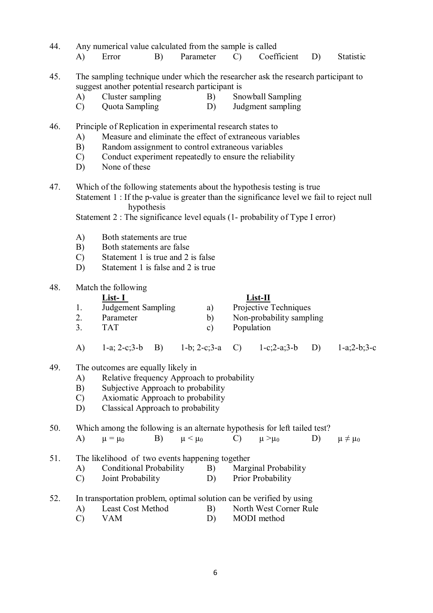| 44. | Any numerical value calculated from the sample is called<br>Parameter<br>B)<br>A)<br>Error<br>$\mathcal{C}$                                                                                                                                                                                 | Coefficient<br>D)                                            | <b>Statistic</b> |
|-----|---------------------------------------------------------------------------------------------------------------------------------------------------------------------------------------------------------------------------------------------------------------------------------------------|--------------------------------------------------------------|------------------|
| 45. | The sampling technique under which the researcher ask the research participant to<br>suggest another potential research participant is<br>Cluster sampling<br>A)<br>B)<br>Quota Sampling<br>$\mathcal{C}$<br>D)                                                                             | Snowball Sampling<br>Judgment sampling                       |                  |
| 46. | Principle of Replication in experimental research states to<br>Measure and eliminate the effect of extraneous variables<br>A)<br>B)<br>Random assignment to control extraneous variables<br>Conduct experiment repeatedly to ensure the reliability<br>$\mathcal{C}$<br>None of these<br>D) |                                                              |                  |
| 47. | Which of the following statements about the hypothesis testing is true<br>Statement 1 : If the p-value is greater than the significance level we fail to reject null<br>hypothesis<br>Statement 2 : The significance level equals (1- probability of Type I error)                          |                                                              |                  |
|     | A)<br>Both statements are true<br>Both statements are false<br>B)<br>Statement 1 is true and 2 is false<br>$\mathcal{C}$<br>Statement 1 is false and 2 is true<br>D)                                                                                                                        |                                                              |                  |
| 48. | Match the following<br>$List-I$<br>Judgement Sampling<br>1.<br>a)<br>2.<br>Parameter<br>b)<br>3 <sub>1</sub><br><b>TAT</b><br>Population<br>$\mathbf{c})$                                                                                                                                   | List-II<br>Projective Techniques<br>Non-probability sampling |                  |
|     | $1-a$ ; $2-c$ ; $3-b$<br><b>B</b> )<br>$1-b$ ; $2-c$ ; $3-a$<br>$\mathcal{C}$<br>A)                                                                                                                                                                                                         | $1-c;2-a;3-b$<br>D)                                          | $1-a;2-b;3-c$    |
| 49. | The outcomes are equally likely in<br>Relative frequency Approach to probability<br>A)<br>B)<br>Subjective Approach to probability<br>Axiomatic Approach to probability<br>$\mathcal{C}$<br>Classical Approach to probability<br>D)                                                         |                                                              |                  |
| 50. | Which among the following is an alternate hypothesis for left tailed test?<br>A)<br>B)<br>$\mu < \mu_0$<br>$\mathcal{C}$<br>$\mu = \mu_0$                                                                                                                                                   | D)<br>$\mu > \mu_0$                                          | $\mu \neq \mu_0$ |
| 51. | The likelihood of two events happening together<br><b>Conditional Probability</b><br>A)<br>B)<br>Joint Probability<br>$\mathcal{C}$<br>D)                                                                                                                                                   | Marginal Probability<br>Prior Probability                    |                  |
| 52. | In transportation problem, optimal solution can be verified by using<br>Least Cost Method<br>B)<br>A)<br>$\mathcal{C}$<br><b>VAM</b><br>D)                                                                                                                                                  | North West Corner Rule<br>MODI method                        |                  |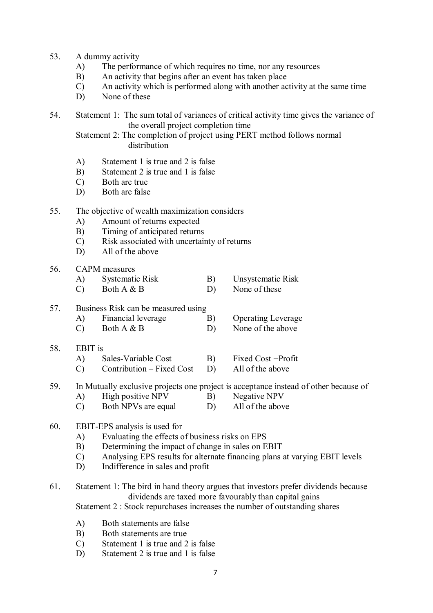- 53. A dummy activity
	- A) The performance of which requires no time, nor any resources
	- B) An activity that begins after an event has taken place
	- C) An activity which is performed along with another activity at the same time
	- D) None of these
- 54. Statement 1: The sum total of variances of critical activity time gives the variance of the overall project completion time

Statement 2: The completion of project using PERT method follows normal distribution

- A) Statement 1 is true and 2 is false
- B) Statement 2 is true and 1 is false
- C) Both are true
- D) Both are false
- 55. The objective of wealth maximization considers
	- A) Amount of returns expected
	- B) Timing of anticipated returns
	- C) Risk associated with uncertainty of returns
	- D) All of the above
- 56. CAPM measures
	- A) Systematic Risk B) Unsystematic Risk
	- C) Both  $A \& B$  D) None of these

#### 57. Business Risk can be measured using

- A) Financial leverage B) Operating Leverage
- C) Both  $A \& B$  D) None of the above

#### 58. EBIT is

- A) Sales-Variable Cost B) Fixed Cost +Profit
- C) Contribution Fixed Cost D) All of the above
- 59. In Mutually exclusive projects one project is acceptance instead of other because of<br>A) High positive NPV B) Negative NPV
	- A) High positive NPV B) Negative NPV<br>
	C) Both NPVs are equal D) All of the above
	- $\text{C)}$  Both NPVs are equal

#### 60. EBIT-EPS analysis is used for

- A) Evaluating the effects of business risks on EPS
- B) Determining the impact of change in sales on EBIT
- C) Analysing EPS results for alternate financing plans at varying EBIT levels
- D) Indifference in sales and profit

## 61. Statement 1: The bird in hand theory argues that investors prefer dividends because dividends are taxed more favourably than capital gains

Statement 2 : Stock repurchases increases the number of outstanding shares

- A) Both statements are false
- B) Both statements are true
- C) Statement 1 is true and 2 is false
- D) Statement 2 is true and 1 is false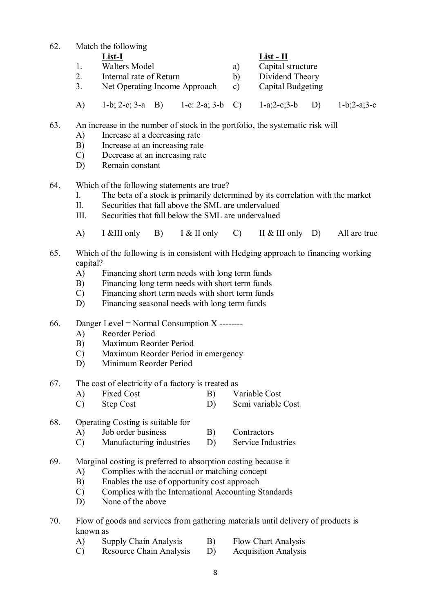| 62. |                                                                      | Match the following                  |                |                   |               |  |  |
|-----|----------------------------------------------------------------------|--------------------------------------|----------------|-------------------|---------------|--|--|
|     |                                                                      | List-I                               |                | $List - II$       |               |  |  |
|     |                                                                      | <b>Walters Model</b>                 | a)             | Capital structure |               |  |  |
|     | Internal rate of Return<br>2.<br>Net Operating Income Approach<br>3. |                                      | b)             | Dividend Theory   |               |  |  |
|     |                                                                      |                                      | $\mathbf{c}$ ) | Capital Budgeting |               |  |  |
|     | A)                                                                   | 1-c: 2-a; 3-b C)<br>1-b; 2-c; 3-a B) |                | $1-a;2-c;3-b$     | $1-b;2-a;3-c$ |  |  |

### 63. An increase in the number of stock in the portfolio, the systematic risk will

- A) Increase at a decreasing rate
- B) Increase at an increasing rate
- C) Decrease at an increasing rate
- D) Remain constant
- 64. Which of the following statements are true?
	- I. The beta of a stock is primarily determined by its correlation with the market
	- II. Securities that fall above the SML are undervalued
	- III. Securities that fall below the SML are undervalued
	- A) I &III only B) I & II only C) II & III only D) All are true
- 65. Which of the following is in consistent with Hedging approach to financing working capital?
	- A) Financing short term needs with long term funds
	- B) Financing long term needs with short term funds
	- C) Financing short term needs with short term funds
	- D) Financing seasonal needs with long term funds
- 66. Danger Level = Normal Consumption X --------
	- A) Reorder Period
	- B) Maximum Reorder Period
	- C) Maximum Reorder Period in emergency
	- D) Minimum Reorder Period
- 67. The cost of electricity of a factory is treated as
	- A) Fixed Cost B) Variable Cost
	- C) Step Cost D) Semi variable Cost
- 68. Operating Costing is suitable for
	- A) Job order business B) Contractors
	- C) Manufacturing industries D) Service Industries
- 69. Marginal costing is preferred to absorption costing because it
	- A) Complies with the accrual or matching concept
	- B) Enables the use of opportunity cost approach
	- C) Complies with the International Accounting Standards
	- D) None of the above
- 70. Flow of goods and services from gathering materials until delivery of products is known as
	- A) Supply Chain Analysis B) Flow Chart Analysis
	- C) Resource Chain Analysis D) Acquisition Analysis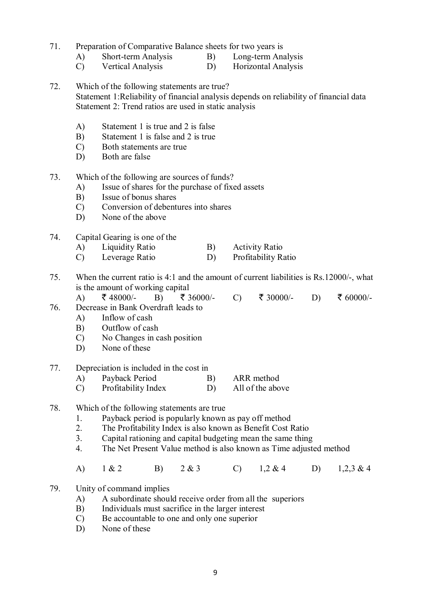71. Preparation of Comparative Balance sheets for two years is

- A) Short-term Analysis B) Long-term Analysis
- C) Vertical Analysis D) Horizontal Analysis
- 72. Which of the following statements are true? Statement 1:Reliability of financial analysis depends on reliability of financial data Statement 2: Trend ratios are used in static analysis
	- A) Statement 1 is true and 2 is false
	- B) Statement 1 is false and 2 is true
	- C) Both statements are true
	- D) Both are false
- 73. Which of the following are sources of funds?
	- A) Issue of shares for the purchase of fixed assets
	- B) Issue of bonus shares
	- C) Conversion of debentures into shares
	- D) None of the above
- 74. Capital Gearing is one of the
	- A) Liquidity Ratio B) Activity Ratio
	- C) Leverage Ratio D) Profitability Ratio
- 75. When the current ratio is 4:1 and the amount of current liabilities is Rs.12000/-, what is the amount of working capital
	- A)  $\bar{\xi}$  48000/- B)  $\bar{\xi}$  36000/- C)  $\bar{\xi}$  30000/- D)  $\bar{\xi}$  60000/-
- 76. Decrease in Bank Overdraft leads to
	- A) Inflow of cash
	- B) Outflow of cash
	- C) No Changes in cash position
	- D) None of these

#### 77. Depreciation is included in the cost in

- A) Payback Period B) ARR method
- C) Profitability Index D) All of the above
- 78. Which of the following statements are true
	- 1. Payback period is popularly known as pay off method<br>2. The Profitability Index is also known as Benefit Cost I
	- 2. The Profitability Index is also known as Benefit Cost Ratio
	- 3. Capital rationing and capital budgeting mean the same thing
	- 4. The Net Present Value method is also known as Time adjusted method
	- A) 1 & 2 B) 2 & 3 C) 1,2 & 4 D) 1,2,3 & 4

### 79. Unity of command implies

- A) A subordinate should receive order from all the superiors
- B) Individuals must sacrifice in the larger interest
- C) Be accountable to one and only one superior
- D) None of these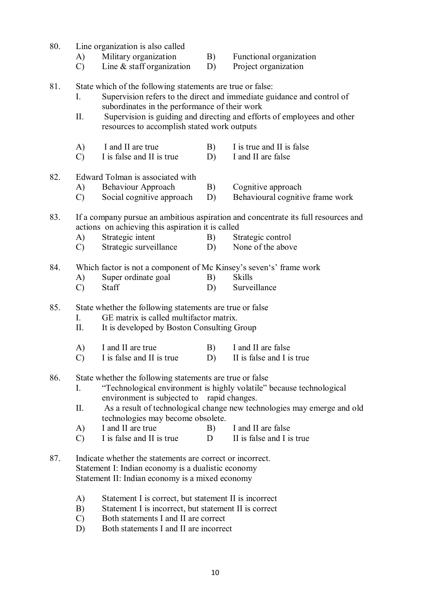- 80. Line organization is also called
	- A) Military organization B) Functional organization
		-
	- C) Line & staff organization D) Project organization
- 81. State which of the following statements are true or false:
	- I. Supervision refers to the direct and immediate guidance and control of subordinates in the performance of their work
	- II. Supervision is guiding and directing and efforts of employees and other resources to accomplish stated work outputs
	- A) I and II are true B) I is true and II is false
	- C) I is false and II is true D) I and II are false

#### 82. Edward Tolman is associated with

- A) Behaviour Approach B) Cognitive approach
- C) Social cognitive approach D) Behavioural cognitive frame work
- 83. If a company pursue an ambitious aspiration and concentrate its full resources and actions on achieving this aspiration it is called
	- A) Strategic intent B) Strategic control
	- C) Strategic surveillance D) None of the above
- 84. Which factor is not a component of Mc Kinsey's seven's' frame work
	- A) Super ordinate goal B) Skills
	- C) Staff D) Surveillance

85. State whether the following statements are true or false

- I. GE matrix is called multifactor matrix.
- II. It is developed by Boston Consulting Group
- A) I and II are true B) I and II are false
- C) I is false and II is true D) II is false and I is true
- 86. State whether the following statements are true or false
	- I. "Technological environment is highly volatile" because technological environment is subjected to rapid changes.
	- II. As a result of technological change new technologies may emerge and old technologies may become obsolete.<br>
	I and II are true B)
	- A) I and II are true B) I and II are false
	- C) I is false and II is true D II is false and I is true
- 87. Indicate whether the statements are correct or incorrect. Statement I: Indian economy is a dualistic economy Statement II: Indian economy is a mixed economy
	- A) Statement I is correct, but statement II is incorrect
	- B) Statement I is incorrect, but statement II is correct
	- C) Both statements I and II are correct
	- D) Both statements I and II are incorrect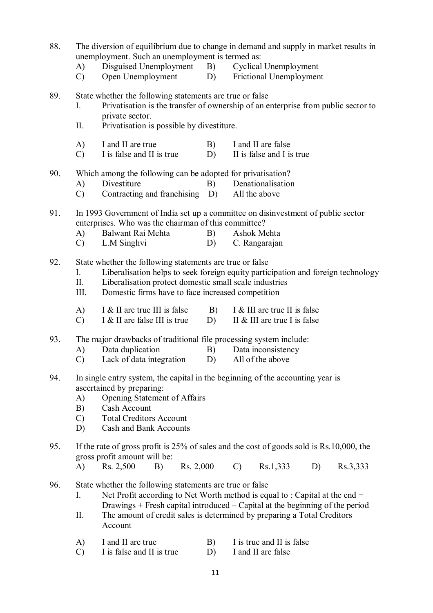| 88.                                                                                   |               | unemployment. Such an unemployment is termed as:                                 |            | The diversion of equilibrium due to change in demand and supply in market results in     |  |
|---------------------------------------------------------------------------------------|---------------|----------------------------------------------------------------------------------|------------|------------------------------------------------------------------------------------------|--|
|                                                                                       | A)            | Disguised Unemployment                                                           | <b>B</b> ) | <b>Cyclical Unemployment</b>                                                             |  |
|                                                                                       | $\mathcal{C}$ | Open Unemployment                                                                | D)         | Frictional Unemployment                                                                  |  |
| 89.                                                                                   |               | State whether the following statements are true or false                         |            |                                                                                          |  |
|                                                                                       | L.            | private sector.                                                                  |            | Privatisation is the transfer of ownership of an enterprise from public sector to        |  |
|                                                                                       | II.           | Privatisation is possible by divestiture.                                        |            |                                                                                          |  |
|                                                                                       | A)            | I and II are true                                                                | B)         | I and II are false                                                                       |  |
|                                                                                       | $\mathcal{C}$ | I is false and II is true                                                        | D)         | II is false and I is true                                                                |  |
| 90.                                                                                   |               | Which among the following can be adopted for privatisation?                      |            |                                                                                          |  |
|                                                                                       | A)            | Divestiture                                                                      | B)         | Denationalisation                                                                        |  |
|                                                                                       | $\mathcal{C}$ | Contracting and franchising                                                      | D)         | All the above                                                                            |  |
| 91.                                                                                   |               | In 1993 Government of India set up a committee on disinvestment of public sector |            |                                                                                          |  |
|                                                                                       |               | enterprises. Who was the chairman of this committee?                             |            |                                                                                          |  |
|                                                                                       | A)            | Balwant Rai Mehta                                                                | B)         | Ashok Mehta                                                                              |  |
|                                                                                       | $\mathcal{C}$ | L.M Singhvi                                                                      | D)         | C. Rangarajan                                                                            |  |
| 92.                                                                                   |               | State whether the following statements are true or false                         |            |                                                                                          |  |
|                                                                                       | I.            |                                                                                  |            | Liberalisation helps to seek foreign equity participation and foreign technology         |  |
|                                                                                       | II.           | Liberalisation protect domestic small scale industries                           |            |                                                                                          |  |
|                                                                                       | III.          | Domestic firms have to face increased competition                                |            |                                                                                          |  |
|                                                                                       | A)            | I & II are true III is false                                                     | B)         | I & III are true II is false                                                             |  |
|                                                                                       | $\mathcal{C}$ | I & II are false III is true                                                     | D)         | II & III are true I is false                                                             |  |
| 93.                                                                                   |               | The major drawbacks of traditional file processing system include:               |            |                                                                                          |  |
|                                                                                       | A)            | Data duplication                                                                 | B)         | Data inconsistency                                                                       |  |
|                                                                                       | $\mathcal{C}$ | Lack of data integration                                                         | D)         | All of the above                                                                         |  |
| In single entry system, the capital in the beginning of the accounting year is<br>94. |               |                                                                                  |            |                                                                                          |  |
|                                                                                       |               | ascertained by preparing:                                                        |            |                                                                                          |  |
|                                                                                       | A)            | Opening Statement of Affairs                                                     |            |                                                                                          |  |
|                                                                                       | B)            | Cash Account                                                                     |            |                                                                                          |  |
|                                                                                       | $\mathcal{C}$ | <b>Total Creditors Account</b>                                                   |            |                                                                                          |  |
|                                                                                       | D)            | Cash and Bank Accounts                                                           |            |                                                                                          |  |
| 95.                                                                                   |               |                                                                                  |            | If the rate of gross profit is 25% of sales and the cost of goods sold is Rs.10,000, the |  |
|                                                                                       |               | gross profit amount will be:                                                     |            |                                                                                          |  |
|                                                                                       | A)            | Rs. 2,500<br>Rs. 2,000<br>B)                                                     |            | $\mathcal{C}$<br>Rs.1,333<br>D)<br>Rs.3,333                                              |  |
| 96.                                                                                   |               | State whether the following statements are true or false                         |            |                                                                                          |  |
|                                                                                       | Ι.            |                                                                                  |            | Net Profit according to Net Worth method is equal to : Capital at the end $+$            |  |
|                                                                                       |               |                                                                                  |            | Drawings + Fresh capital introduced – Capital at the beginning of the period             |  |
|                                                                                       | П.            |                                                                                  |            | The amount of credit sales is determined by preparing a Total Creditors                  |  |
|                                                                                       |               | Account                                                                          |            |                                                                                          |  |
|                                                                                       | A)            | I and II are true                                                                | B)         | I is true and II is false                                                                |  |
|                                                                                       | $\mathcal{C}$ | I is false and II is true                                                        | D)         | I and II are false                                                                       |  |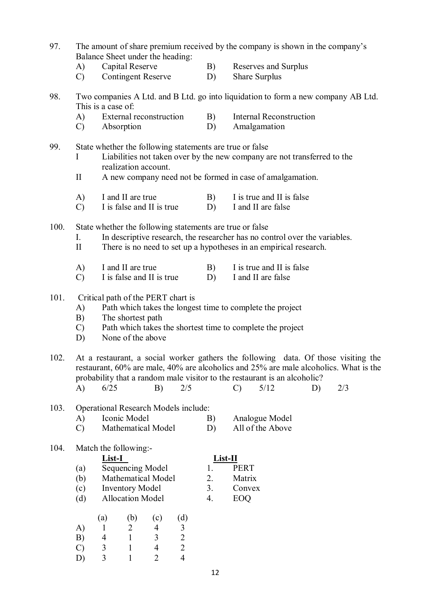- 97. The amount of share premium received by the company is shown in the company's Balance Sheet under the heading:
	- A) Capital Reserve B) Reserves and Surplus
	- C) Contingent Reserve D) Share Surplus
- 98. Two companies A Ltd. and B Ltd. go into liquidation to form a new company AB Ltd. This is a case of:
	- A) External reconstruction B) Internal Reconstruction
	- C) Absorption D) Amalgamation

#### 99. State whether the following statements are true or false I Liabilities not taken over by the new company are not transferred to the

- realization account.
- II A new company need not be formed in case of amalgamation.
- A) I and II are true B) I is true and II is false
- C) I is false and II is true D) I and II are false

100. State whether the following statements are true or false

- I. In descriptive research, the researcher has no control over the variables.
- II There is no need to set up a hypotheses in an empirical research.
- A) I and II are true B) I is true and II is false
- C) I is false and II is true D) I and II are false

#### 101. Critical path of the PERT chart is

- A) Path which takes the longest time to complete the project
- B) The shortest path
- C) Path which takes the shortest time to complete the project
- D) None of the above

102. At a restaurant, a social worker gathers the following data. Of those visiting the restaurant, 60% are male, 40% are alcoholics and 25% are male alcoholics. What is the probability that a random male visitor to the restaurant is an alcoholic?

| A) $6/25$<br>$B)$ 2/5 |  | $C)$ 5/12 |  | D) $2/3$ |  |
|-----------------------|--|-----------|--|----------|--|
|-----------------------|--|-----------|--|----------|--|

#### 103. Operational Research Models include:

A) Iconic Model B) Analogue Model<br>
C) Mathematical Model D) All of the Above Mathematical Model D)

#### 104. Match the following:-

| List-I |                           | List-II |             |
|--------|---------------------------|---------|-------------|
| (a)    | Sequencing Model          |         | <b>PERT</b> |
| (b)    | <b>Mathematical Model</b> | 2       | Matrix      |
| (c)    | <b>Inventory Model</b>    | 3       | Convex      |
| (d)    | <b>Allocation Model</b>   |         | 12 J C      |

|               | (a) | (b) | (c) | (d)            |
|---------------|-----|-----|-----|----------------|
| A)            |     | 2   | 4   | 3              |
| B)            | 4   |     | 3   | 2              |
| $\mathcal{C}$ | 3   |     | 4   | 2              |
| D)            | 3   |     | 2   | $\overline{4}$ |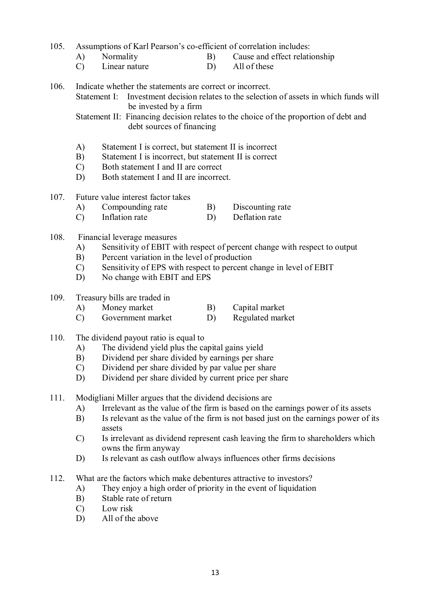105. Assumptions of Karl Pearson's co-efficient of correlation includes:

- A) Normality B) Cause and effect relationship
- C) Linear nature D) All of these

106. Indicate whether the statements are correct or incorrect.

Statement I: Investment decision relates to the selection of assets in which funds will be invested by a firm

Statement II: Financing decision relates to the choice of the proportion of debt and debt sources of financing

- A) Statement I is correct, but statement II is incorrect
- B) Statement I is incorrect, but statement II is correct
- C) Both statement I and II are correct
- D) Both statement I and II are incorrect.
- 107. Future value interest factor takes
	- A) Compounding rate B) Discounting rate
	- C) Inflation rate D) Deflation rate

#### 108. Financial leverage measures

- A) Sensitivity of EBIT with respect of percent change with respect to output
- B) Percent variation in the level of production
- C) Sensitivity of EPS with respect to percent change in level of EBIT
- D) No change with EBIT and EPS

# 109. Treasury bills are traded in<br>A) Money market

- A) Money market B) Capital market
- C) Government market D) Regulated market
- 110. The dividend payout ratio is equal to
	- A) The dividend yield plus the capital gains yield
	- B) Dividend per share divided by earnings per share
	- C) Dividend per share divided by par value per share
	- D) Dividend per share divided by current price per share
- 111. Modigliani Miller argues that the dividend decisions are
	- A) Irrelevant as the value of the firm is based on the earnings power of its assets
	- B) Is relevant as the value of the firm is not based just on the earnings power of its assets
	- C) Is irrelevant as dividend represent cash leaving the firm to shareholders which owns the firm anyway
	- D) Is relevant as cash outflow always influences other firms decisions
- 112. What are the factors which make debentures attractive to investors?
	- A) They enjoy a high order of priority in the event of liquidation
	- B) Stable rate of return
	- C) Low risk
	- D) All of the above